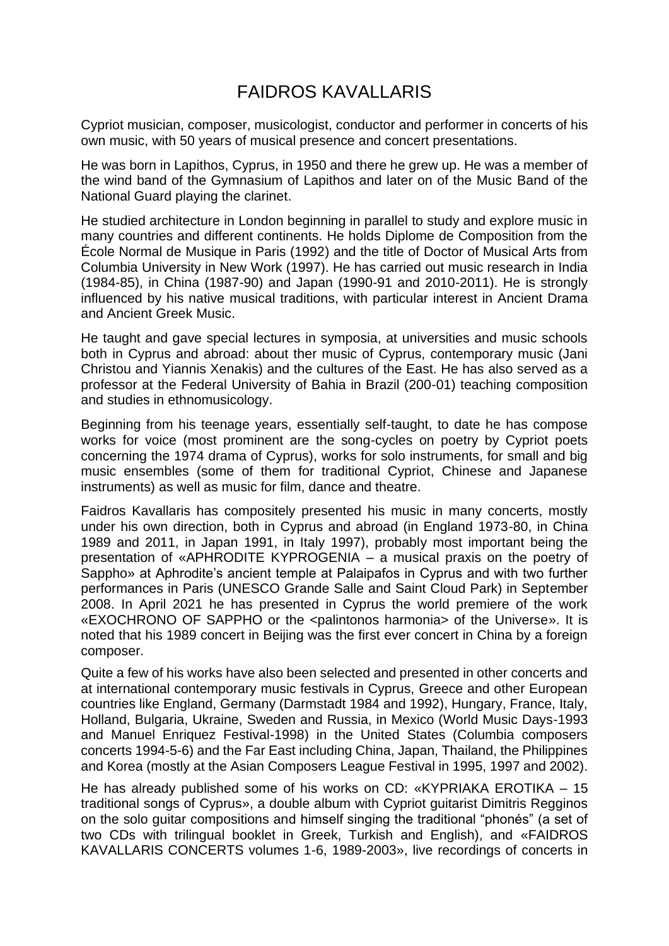## FAIDROS KAVALLARIS

Cypriot musician, composer, musicologist, conductor and performer in concerts of his own music, with 50 years of musical presence and concert presentations.

He was born in Lapithos, Cyprus, in 1950 and there he grew up. He was a member of the wind band of the Gymnasium of Lapithos and later on of the Music Band of the National Guard playing the clarinet.

He studied architecture in London beginning in parallel to study and explore music in many countries and different continents. He holds Diplome de Composition from the École Normal de Musique in Paris (1992) and the title of Doctor of Musical Arts from Columbia University in New Work (1997). He has carried out music research in India (1984-85), in China (1987-90) and Japan (1990-91 and 2010-2011). He is strongly influenced by his native musical traditions, with particular interest in Ancient Drama and Ancient Greek Music.

He taught and gave special lectures in symposia, at universities and music schools both in Cyprus and abroad: about ther music of Cyprus, contemporary music (Jani Christou and Yiannis Xenakis) and the cultures of the East. He has also served as a professor at the Federal University of Bahia in Brazil (200-01) teaching composition and studies in ethnomusicology.

Beginning from his teenage years, essentially self-taught, to date he has compose works for voice (most prominent are the song-cycles on poetry by Cypriot poets concerning the 1974 drama of Cyprus), works for solo instruments, for small and big music ensembles (some of them for traditional Cypriot, Chinese and Japanese instruments) as well as music for film, dance and theatre.

Faidros Kavallaris has compositely presented his music in many concerts, mostly under his own direction, both in Cyprus and abroad (in England 1973-80, in China 1989 and 2011, in Japan 1991, in Italy 1997), probably most important being the presentation of «APHRODITE KYPROGENIA – a musical praxis on the poetry of Sappho» at Aphrodite's ancient temple at Palaipafos in Cyprus and with two further performances in Paris (UNESCO Grande Salle and Saint Cloud Park) in September 2008. In April 2021 he has presented in Cyprus the world premiere of the work «EXOCHRONO OF SAPPHO or the <palintonos harmonia> of the Universe». It is noted that his 1989 concert in Beijing was the first ever concert in China by a foreign composer.

Quite a few of his works have also been selected and presented in other concerts and at international contemporary music festivals in Cyprus, Greece and other European countries like England, Germany (Darmstadt 1984 and 1992), Hungary, France, Italy, Holland, Bulgaria, Ukraine, Sweden and Russia, in Mexico (World Music Days-1993 and Manuel Enriquez Festival-1998) in the United States (Columbia composers concerts 1994-5-6) and the Far East including China, Japan, Thailand, the Philippines and Korea (mostly at the Asian Composers League Festival in 1995, 1997 and 2002).

He has already published some of his works on CD: «KYPRIAKA EROTIKA – 15 traditional songs of Cyprus», a double album with Cypriot guitarist Dimitris Regginos on the solo guitar compositions and himself singing the traditional "phonés" (a set of two CDs with trilingual booklet in Greek, Turkish and English), and «FAIDROS KAVALLARIS CONCERTS volumes 1-6, 1989-2003», live recordings of concerts in